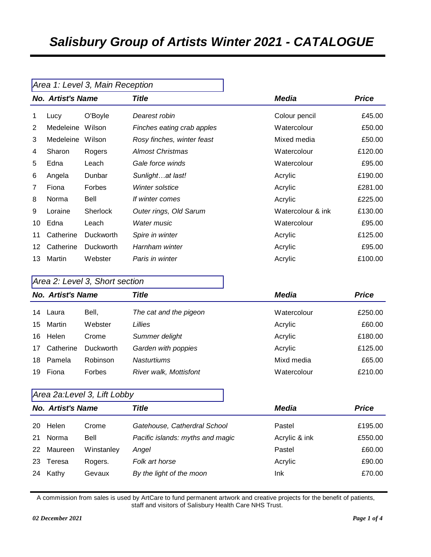|                                          |           | Area 1: Level 3, Main Reception |                            |                   |         |
|------------------------------------------|-----------|---------------------------------|----------------------------|-------------------|---------|
| <b>Title</b><br><b>No. Artist's Name</b> |           |                                 | Media                      | <b>Price</b>      |         |
| 1                                        | Lucy      | O'Boyle                         | Dearest robin              | Colour pencil     | £45.00  |
| $\overline{2}$                           | Medeleine | Wilson                          | Finches eating crab apples | Watercolour       | £50.00  |
| 3                                        | Medeleine | Wilson                          | Rosy finches, winter feast | Mixed media       | £50.00  |
| 4                                        | Sharon    | Rogers                          | <b>Almost Christmas</b>    | Watercolour       | £120.00 |
| 5                                        | Edna      | Leach                           | Gale force winds           | Watercolour       | £95.00  |
| 6                                        | Angela    | Dunbar                          | Sunlightat last!           | Acrylic           | £190.00 |
| 7                                        | Fiona     | <b>Forbes</b>                   | Winter solstice            | Acrylic           | £281.00 |
| 8                                        | Norma     | Bell                            | If winter comes            | Acrylic           | £225.00 |
| 9                                        | Loraine   | <b>Sherlock</b>                 | Outer rings, Old Sarum     | Watercolour & ink | £130.00 |
| 10                                       | Edna      | Leach                           | <b>Water music</b>         | Watercolour       | £95.00  |
| 11                                       | Catherine | <b>Duckworth</b>                | Spire in winter            | Acrylic           | £125.00 |
| 12                                       | Catherine | <b>Duckworth</b>                | Harnham winter             | Acrylic           | £95.00  |
| 13                                       | Martin    | Webster                         | Paris in winter            | Acrylic           | £100.00 |

# *Area 2: Level 3, Short section No. Artist's Name Title Media Price* Laura Bell, *The cat and the pigeon* Watercolour £250.00

| 15  | Martin    | Webster          | _illies                | Acrylic     | £60.00  |
|-----|-----------|------------------|------------------------|-------------|---------|
| 16. | Helen     | Crome            | Summer delight         | Acrylic     | £180.00 |
| 17  | Catherine | <b>Duckworth</b> | Garden with poppies    | Acrylic     | £125.00 |
| 18. | Pamela    | Robinson         | <b>Nasturtiums</b>     | Mixd media  | £65.00  |
| 19  | Fiona     | Forbes           | River walk, Mottisfont | Watercolour | £210.00 |

#### *Area 2a:Level 3, Lift Lobby*

|    | <b>No. Artist's Name</b> |            | Title                            | Media         | <b>Price</b> |
|----|--------------------------|------------|----------------------------------|---------------|--------------|
| 20 | Helen                    | Crome      | Gatehouse, Catherdral School     | Pastel        | £195.00      |
| 21 | Norma                    | Bell       | Pacific islands: myths and magic | Acrylic & ink | £550.00      |
| 22 | Maureen                  | Winstanley | Angel                            | Pastel        | £60.00       |
| 23 | Teresa                   | Rogers.    | Folk art horse                   | Acrylic       | £90.00       |
| 24 | Kathy                    | Gevaux     | By the light of the moon         | Ink           | £70.00       |
|    |                          |            |                                  |               |              |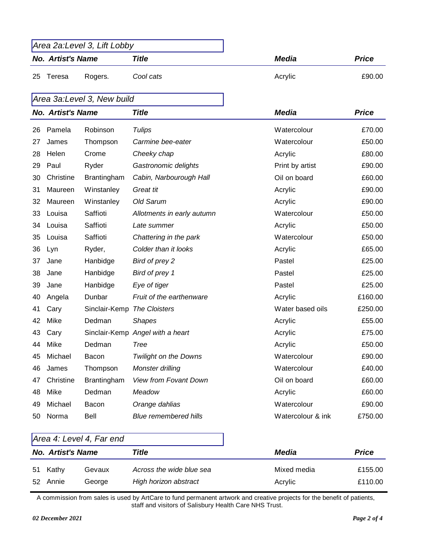| Area 2a:Level 3, Lift Lobby       |         |           |              |        |
|-----------------------------------|---------|-----------|--------------|--------|
| Title<br><b>No. Artist's Name</b> |         | Media     | <b>Price</b> |        |
| -25<br>Teresa                     | Rogers. | Cool cats | Acrylic      | £90.00 |

## *Area 3a:Level 3, New build*

|    | <b>No. Artist's Name</b> |                             | <b>Title</b>                     | <b>Media</b>      | <b>Price</b> |
|----|--------------------------|-----------------------------|----------------------------------|-------------------|--------------|
| 26 | Pamela                   | Robinson                    | <b>Tulips</b>                    | Watercolour       | £70.00       |
| 27 | James                    | Thompson                    | Carmine bee-eater                | Watercolour       | £50.00       |
| 28 | Helen                    | Crome                       | Cheeky chap                      | Acrylic           | £80.00       |
| 29 | Paul                     | Ryder                       | Gastronomic delights             | Print by artist   | £90.00       |
| 30 | Christine                | Brantingham                 | Cabin, Narbourough Hall          | Oil on board      | £60.00       |
| 31 | Maureen                  | Winstanley                  | Great tit                        | Acrylic           | £90.00       |
| 32 | Maureen                  | Winstanley                  | Old Sarum                        | Acrylic           | £90.00       |
| 33 | Louisa                   | Saffioti                    | Allotments in early autumn       | Watercolour       | £50.00       |
| 34 | Louisa                   | Saffioti                    | Late summer                      | Acrylic           | £50.00       |
| 35 | Louisa                   | Saffioti                    | Chattering in the park           | Watercolour       | £50.00       |
| 36 | Lyn                      | Ryder,                      | Colder than it looks             | Acrylic           | £65.00       |
| 37 | Jane                     | Hanbidge                    | Bird of prey 2                   | Pastel            | £25.00       |
| 38 | Jane                     | Hanbidge                    | Bird of prey 1                   | Pastel            | £25.00       |
| 39 | Jane                     | Hanbidge                    | Eye of tiger                     | Pastel            | £25.00       |
| 40 | Angela                   | Dunbar                      | Fruit of the earthenware         | Acrylic           | £160.00      |
| 41 | Cary                     | Sinclair-Kemp The Cloisters |                                  | Water based oils  | £250.00      |
| 42 | Mike                     | Dedman                      | <b>Shapes</b>                    | Acrylic           | £55.00       |
| 43 | Cary                     |                             | Sinclair-Kemp Angel with a heart | Acrylic           | £75.00       |
| 44 | Mike                     | Dedman                      | <b>Tree</b>                      | Acrylic           | £50.00       |
| 45 | Michael                  | Bacon                       | <b>Twilight on the Downs</b>     | Watercolour       | £90.00       |
| 46 | James                    | Thompson                    | Monster drilling                 | Watercolour       | £40.00       |
| 47 | Christine                | Brantingham                 | <b>View from Fovant Down</b>     | Oil on board      | £60.00       |
| 48 | Mike                     | Dedman                      | Meadow                           | Acrylic           | £60.00       |
| 49 | Michael                  | Bacon                       | Orange dahlias                   | Watercolour       | £90.00       |
| 50 | Norma                    | Bell                        | <b>Blue remembered hills</b>     | Watercolour & ink | £750.00      |

## *Area 4: Level 4, Far end*

| <b>No. Artist's Name</b> |          |        | Title                    | Media       | <b>Price</b> |
|--------------------------|----------|--------|--------------------------|-------------|--------------|
|                          | 51 Kathy | Gevaux | Across the wide blue sea | Mixed media | £155.00      |
|                          | 52 Annie | George | High horizon abstract    | Acrylic     | £110.00      |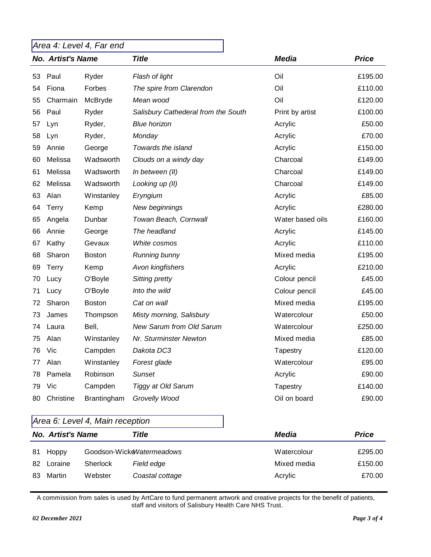## *Area 4: Level 4, Far end*

|    | <b>No. Artist's Name</b> |               | <b>Title</b>                        | <b>Media</b>     | <b>Price</b> |
|----|--------------------------|---------------|-------------------------------------|------------------|--------------|
| 53 | Paul                     | Ryder         | Flash of light                      | Oil              | £195.00      |
| 54 | Fiona                    | Forbes        | The spire from Clarendon            | Oil              | £110.00      |
| 55 | Charmain                 | McBryde       | Mean wood                           | Oil              | £120.00      |
| 56 | Paul                     | Ryder         | Salisbury Cathederal from the South | Print by artist  | £100.00      |
| 57 | Lyn                      | Ryder,        | <b>Blue horizon</b>                 | Acrylic          | £50.00       |
| 58 | Lyn                      | Ryder,        | Monday                              | Acrylic          | £70.00       |
| 59 | Annie                    | George        | Towards the island                  | Acrylic          | £150.00      |
| 60 | Melissa                  | Wadsworth     | Clouds on a windy day               | Charcoal         | £149.00      |
| 61 | Melissa                  | Wadsworth     | In between (II)                     | Charcoal         | £149.00      |
| 62 | Melissa                  | Wadsworth     | Looking up (II)                     | Charcoal         | £149.00      |
| 63 | Alan                     | Winstanley    | Eryngium                            | Acrylic          | £85.00       |
| 64 | <b>Terry</b>             | Kemp          | New beginnings                      | Acrylic          | £280.00      |
| 65 | Angela                   | Dunbar        | Towan Beach, Cornwall               | Water based oils | £160.00      |
| 66 | Annie                    | George        | The headland                        | Acrylic          | £145.00      |
| 67 | Kathy                    | Gevaux        | White cosmos                        | Acrylic          | £110.00      |
| 68 | Sharon                   | <b>Boston</b> | Running bunny                       | Mixed media      | £195.00      |
| 69 | Terry                    | Kemp          | Avon kingfishers                    | Acrylic          | £210.00      |
| 70 | Lucy                     | O'Boyle       | <b>Sitting pretty</b>               | Colour pencil    | £45.00       |
| 71 | Lucy                     | O'Boyle       | Into the wild                       | Colour pencil    | £45.00       |
| 72 | Sharon                   | <b>Boston</b> | Cat on wall                         | Mixed media      | £195.00      |
| 73 | James                    | Thompson      | Misty morning, Salisbury            | Watercolour      | £50.00       |
| 74 | Laura                    | Bell,         | <b>New Sarum from Old Sarum</b>     | Watercolour      | £250.00      |
| 75 | Alan                     | Winstanley    | Nr. Sturminster Newton              | Mixed media      | £85.00       |
| 76 | Vic                      | Campden       | Dakota DC3                          | Tapestry         | £120.00      |
| 77 | Alan                     | Winstanley    | Forest glade                        | Watercolour      | £95.00       |
| 78 | Pamela                   | Robinson      | <b>Sunset</b>                       | Acrylic          | £90.00       |
| 79 | Vic                      | Campden       | <b>Tiggy at Old Sarum</b>           | Tapestry         | £140.00      |
| 80 | Christine                | Brantingham   | Grovelly Wood                       | Oil on board     | £90.00       |

#### *Area 6: Level 4, Main reception*

|    | <b>No. Artist's Name</b> |                 | Title                      | Media       | <b>Price</b> |
|----|--------------------------|-----------------|----------------------------|-------------|--------------|
| 81 | Hoppy                    |                 | Goodson-WickelNatermeadows | Watercolour | £295.00      |
| 82 | Loraine                  | <b>Sherlock</b> | Field edge                 | Mixed media | £150.00      |
| 83 | Martin                   | Webster         | Coastal cottage            | Acrylic     | £70.00       |